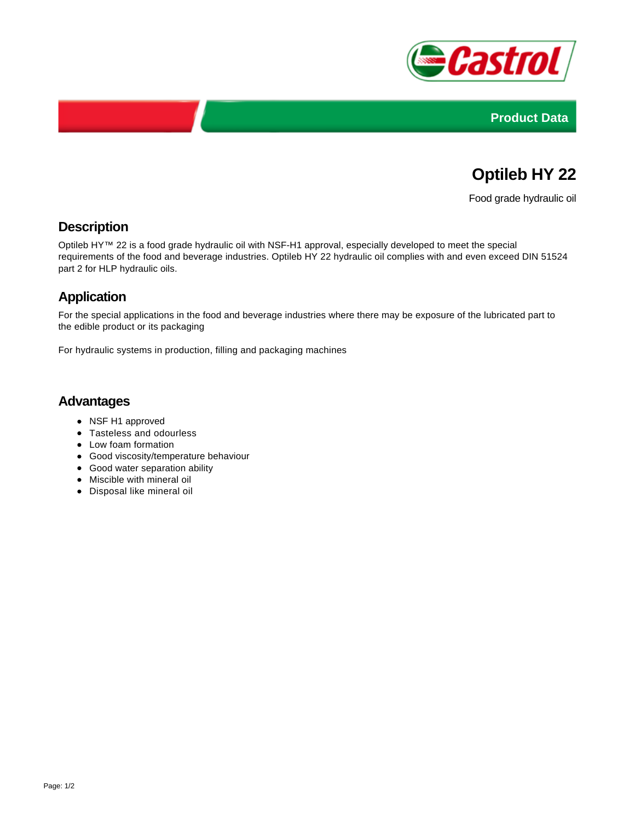



# **Optileb HY 22**

Food grade hydraulic oil

#### **Description**

Optileb HY™ 22 is a food grade hydraulic oil with NSF-H1 approval, especially developed to meet the special requirements of the food and beverage industries. Optileb HY 22 hydraulic oil complies with and even exceed DIN 51524 part 2 for HLP hydraulic oils.

## **Application**

For the special applications in the food and beverage industries where there may be exposure of the lubricated part to the edible product or its packaging

For hydraulic systems in production, filling and packaging machines

#### **Advantages**

- NSF H1 approved
- Tasteless and odourless
- Low foam formation
- Good viscosity/temperature behaviour
- Good water separation ability
- Miscible with mineral oil
- Disposal like mineral oil